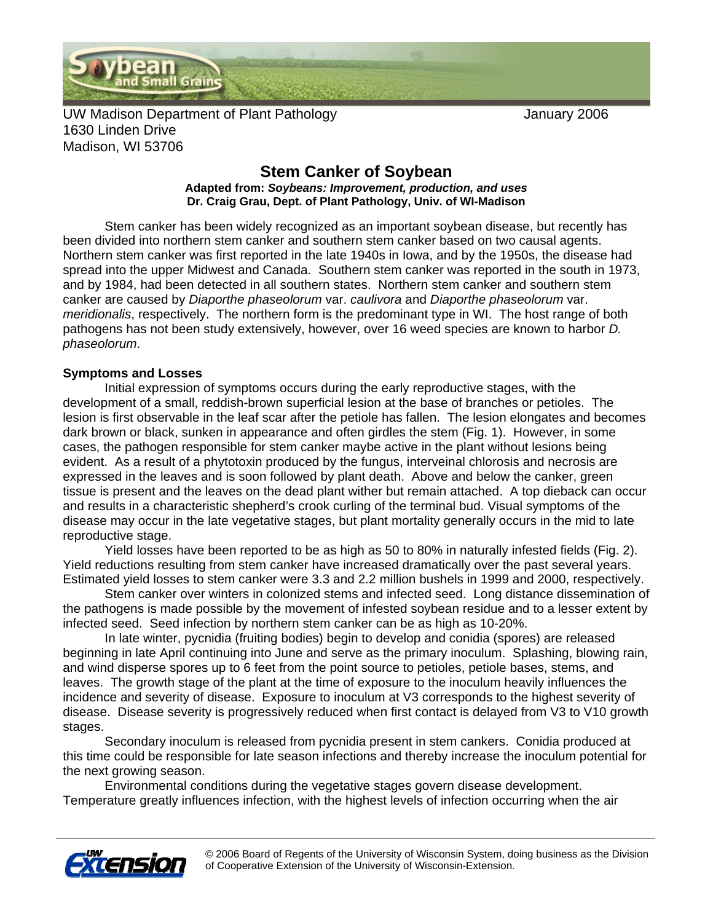

UW Madison Department of Plant Pathology **The Contract Contract Contract Contract** January 2006 1630 Linden Drive Madison, WI 53706

## **Stem Canker of Soybean Adapted from:** *Soybeans: Improvement, production, and uses*  **Dr. Craig Grau, Dept. of Plant Pathology, Univ. of WI-Madison**

 Stem canker has been widely recognized as an important soybean disease, but recently has been divided into northern stem canker and southern stem canker based on two causal agents. Northern stem canker was first reported in the late 1940s in Iowa, and by the 1950s, the disease had spread into the upper Midwest and Canada. Southern stem canker was reported in the south in 1973, and by 1984, had been detected in all southern states. Northern stem canker and southern stem canker are caused by *Diaporthe phaseolorum* var. *caulivora* and *Diaporthe phaseolorum* var. *meridionalis*, respectively. The northern form is the predominant type in WI. The host range of both pathogens has not been study extensively, however, over 16 weed species are known to harbor *D. phaseolorum*.

## **Symptoms and Losses**

 Initial expression of symptoms occurs during the early reproductive stages, with the development of a small, reddish-brown superficial lesion at the base of branches or petioles. The lesion is first observable in the leaf scar after the petiole has fallen. The lesion elongates and becomes dark brown or black, sunken in appearance and often girdles the stem (Fig. 1). However, in some cases, the pathogen responsible for stem canker maybe active in the plant without lesions being evident. As a result of a phytotoxin produced by the fungus, interveinal chlorosis and necrosis are expressed in the leaves and is soon followed by plant death. Above and below the canker, green tissue is present and the leaves on the dead plant wither but remain attached. A top dieback can occur and results in a characteristic shepherd's crook curling of the terminal bud. Visual symptoms of the disease may occur in the late vegetative stages, but plant mortality generally occurs in the mid to late reproductive stage.

 Yield losses have been reported to be as high as 50 to 80% in naturally infested fields (Fig. 2). Yield reductions resulting from stem canker have increased dramatically over the past several years. Estimated yield losses to stem canker were 3.3 and 2.2 million bushels in 1999 and 2000, respectively.

 Stem canker over winters in colonized stems and infected seed. Long distance dissemination of the pathogens is made possible by the movement of infested soybean residue and to a lesser extent by infected seed. Seed infection by northern stem canker can be as high as 10-20%.

 In late winter, pycnidia (fruiting bodies) begin to develop and conidia (spores) are released beginning in late April continuing into June and serve as the primary inoculum. Splashing, blowing rain, and wind disperse spores up to 6 feet from the point source to petioles, petiole bases, stems, and leaves. The growth stage of the plant at the time of exposure to the inoculum heavily influences the incidence and severity of disease. Exposure to inoculum at V3 corresponds to the highest severity of disease. Disease severity is progressively reduced when first contact is delayed from V3 to V10 growth stages.

 Secondary inoculum is released from pycnidia present in stem cankers. Conidia produced at this time could be responsible for late season infections and thereby increase the inoculum potential for the next growing season.

 Environmental conditions during the vegetative stages govern disease development. Temperature greatly influences infection, with the highest levels of infection occurring when the air